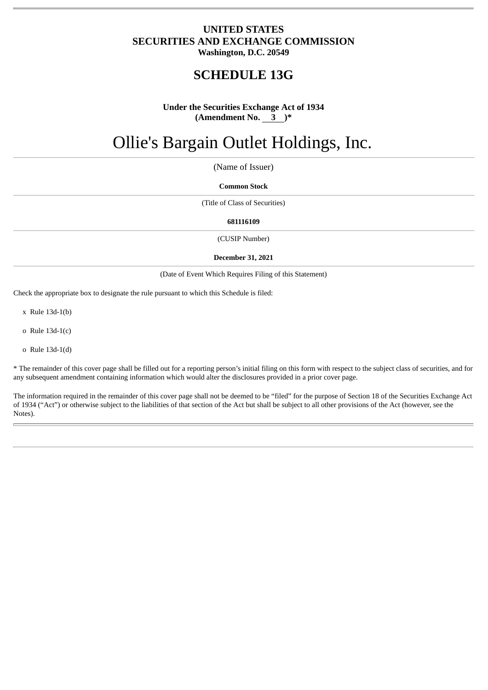# **UNITED STATES SECURITIES AND EXCHANGE COMMISSION Washington, D.C. 20549**

# **SCHEDULE 13G**

# **Under the Securities Exchange Act of 1934 (Amendment No. 3 )\***

# Ollie's Bargain Outlet Holdings, Inc.

(Name of Issuer)

#### **Common Stock**

(Title of Class of Securities)

#### **681116109**

(CUSIP Number)

#### **December 31, 2021**

(Date of Event Which Requires Filing of this Statement)

Check the appropriate box to designate the rule pursuant to which this Schedule is filed:

x Rule 13d-1(b)

o Rule 13d-1(c)

o Rule 13d-1(d)

\* The remainder of this cover page shall be filled out for a reporting person's initial filing on this form with respect to the subject class of securities, and for any subsequent amendment containing information which would alter the disclosures provided in a prior cover page.

The information required in the remainder of this cover page shall not be deemed to be "filed" for the purpose of Section 18 of the Securities Exchange Act of 1934 ("Act") or otherwise subject to the liabilities of that section of the Act but shall be subject to all other provisions of the Act (however, see the Notes).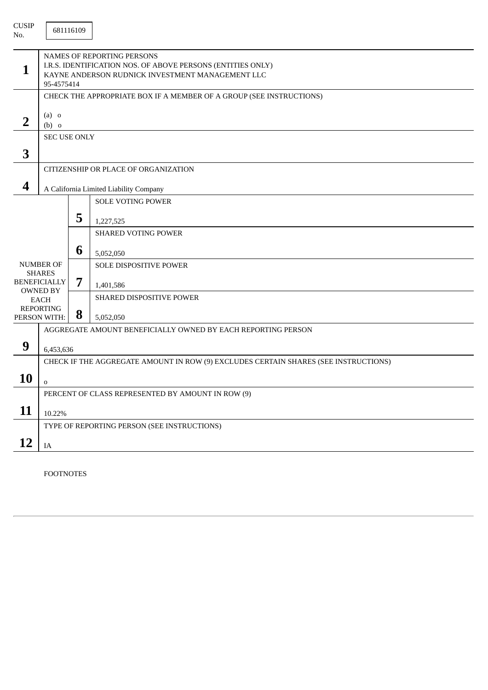| <b>CUSIP</b><br>No.     |                                                                                                                                                             | 681116109 |                                                                    |  |  |  |  |
|-------------------------|-------------------------------------------------------------------------------------------------------------------------------------------------------------|-----------|--------------------------------------------------------------------|--|--|--|--|
| 1                       | NAMES OF REPORTING PERSONS<br>I.R.S. IDENTIFICATION NOS. OF ABOVE PERSONS (ENTITIES ONLY)<br>KAYNE ANDERSON RUDNICK INVESTMENT MANAGEMENT LLC<br>95-4575414 |           |                                                                    |  |  |  |  |
|                         | CHECK THE APPROPRIATE BOX IF A MEMBER OF A GROUP (SEE INSTRUCTIONS)                                                                                         |           |                                                                    |  |  |  |  |
| $\overline{2}$          | $(a)$ o<br>$(b)$ o                                                                                                                                          |           |                                                                    |  |  |  |  |
|                         | <b>SEC USE ONLY</b>                                                                                                                                         |           |                                                                    |  |  |  |  |
| 3                       |                                                                                                                                                             |           |                                                                    |  |  |  |  |
|                         |                                                                                                                                                             |           | CITIZENSHIP OR PLACE OF ORGANIZATION                               |  |  |  |  |
| $\overline{\mathbf{4}}$ |                                                                                                                                                             |           |                                                                    |  |  |  |  |
|                         |                                                                                                                                                             |           | A California Limited Liability Company<br><b>SOLE VOTING POWER</b> |  |  |  |  |
|                         |                                                                                                                                                             |           |                                                                    |  |  |  |  |
|                         |                                                                                                                                                             | 5         | 1,227,525                                                          |  |  |  |  |
|                         |                                                                                                                                                             |           | <b>SHARED VOTING POWER</b>                                         |  |  |  |  |
|                         |                                                                                                                                                             | 6         | 5,052,050                                                          |  |  |  |  |
|                         | <b>NUMBER OF</b>                                                                                                                                            |           | SOLE DISPOSITIVE POWER                                             |  |  |  |  |
|                         | <b>SHARES</b><br><b>BENEFICIALLY</b>                                                                                                                        | 7         |                                                                    |  |  |  |  |
|                         | <b>OWNED BY</b>                                                                                                                                             |           | 1,401,586<br>SHARED DISPOSITIVE POWER                              |  |  |  |  |
|                         | <b>EACH</b><br><b>REPORTING</b>                                                                                                                             |           |                                                                    |  |  |  |  |
|                         | PERSON WITH:                                                                                                                                                | 8         | 5,052,050                                                          |  |  |  |  |
|                         | AGGREGATE AMOUNT BENEFICIALLY OWNED BY EACH REPORTING PERSON                                                                                                |           |                                                                    |  |  |  |  |
| 9                       | 6,453,636                                                                                                                                                   |           |                                                                    |  |  |  |  |
|                         | CHECK IF THE AGGREGATE AMOUNT IN ROW (9) EXCLUDES CERTAIN SHARES (SEE INSTRUCTIONS)                                                                         |           |                                                                    |  |  |  |  |
| <b>10</b>               | 0                                                                                                                                                           |           |                                                                    |  |  |  |  |
|                         | PERCENT OF CLASS REPRESENTED BY AMOUNT IN ROW (9)                                                                                                           |           |                                                                    |  |  |  |  |
| 11                      | 10.22%                                                                                                                                                      |           |                                                                    |  |  |  |  |
|                         |                                                                                                                                                             |           | TYPE OF REPORTING PERSON (SEE INSTRUCTIONS)                        |  |  |  |  |
| 12                      | $\rm IA$                                                                                                                                                    |           |                                                                    |  |  |  |  |

FOOTNOTES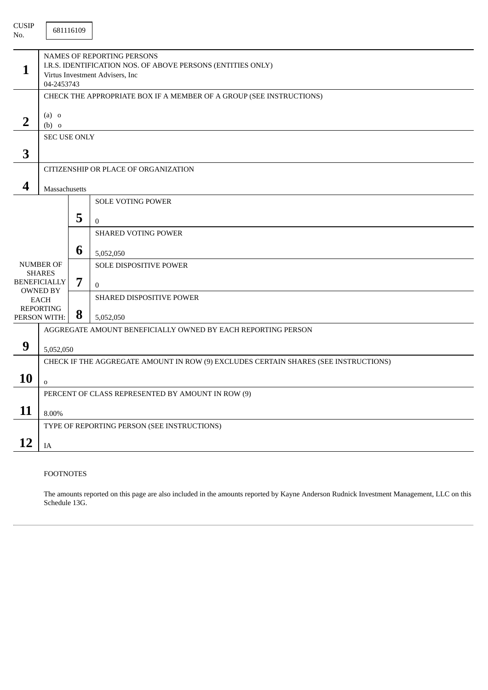| <b>CUSIP</b><br>No. |                                                                                                                                                   | 681116109 |                                                                           |  |  |  |  |  |
|---------------------|---------------------------------------------------------------------------------------------------------------------------------------------------|-----------|---------------------------------------------------------------------------|--|--|--|--|--|
| 1                   | <b>NAMES OF REPORTING PERSONS</b><br>I.R.S. IDENTIFICATION NOS. OF ABOVE PERSONS (ENTITIES ONLY)<br>Virtus Investment Advisers, Inc<br>04-2453743 |           |                                                                           |  |  |  |  |  |
|                     | CHECK THE APPROPRIATE BOX IF A MEMBER OF A GROUP (SEE INSTRUCTIONS)                                                                               |           |                                                                           |  |  |  |  |  |
| $\overline{2}$      | $(a)$ o<br>$(b)$ o                                                                                                                                |           |                                                                           |  |  |  |  |  |
|                     | <b>SEC USE ONLY</b>                                                                                                                               |           |                                                                           |  |  |  |  |  |
| 3                   |                                                                                                                                                   |           |                                                                           |  |  |  |  |  |
|                     |                                                                                                                                                   |           | CITIZENSHIP OR PLACE OF ORGANIZATION                                      |  |  |  |  |  |
| 4                   | Massachusetts                                                                                                                                     |           |                                                                           |  |  |  |  |  |
|                     |                                                                                                                                                   |           | <b>SOLE VOTING POWER</b>                                                  |  |  |  |  |  |
|                     |                                                                                                                                                   | 5         |                                                                           |  |  |  |  |  |
|                     |                                                                                                                                                   |           | $\overline{0}$<br><b>SHARED VOTING POWER</b>                              |  |  |  |  |  |
|                     |                                                                                                                                                   |           |                                                                           |  |  |  |  |  |
|                     |                                                                                                                                                   | 6         | 5,052,050                                                                 |  |  |  |  |  |
|                     | <b>NUMBER OF</b><br><b>SHARES</b>                                                                                                                 |           | SOLE DISPOSITIVE POWER                                                    |  |  |  |  |  |
|                     | <b>BENEFICIALLY</b>                                                                                                                               | 7         | $\overline{0}$                                                            |  |  |  |  |  |
|                     | <b>OWNED BY</b><br><b>EACH</b>                                                                                                                    |           | SHARED DISPOSITIVE POWER                                                  |  |  |  |  |  |
|                     | <b>REPORTING</b>                                                                                                                                  | 8         |                                                                           |  |  |  |  |  |
|                     | PERSON WITH:                                                                                                                                      |           | 5,052,050<br>AGGREGATE AMOUNT BENEFICIALLY OWNED BY EACH REPORTING PERSON |  |  |  |  |  |
|                     |                                                                                                                                                   |           |                                                                           |  |  |  |  |  |
| 9                   | 5,052,050                                                                                                                                         |           |                                                                           |  |  |  |  |  |
|                     | CHECK IF THE AGGREGATE AMOUNT IN ROW (9) EXCLUDES CERTAIN SHARES (SEE INSTRUCTIONS)                                                               |           |                                                                           |  |  |  |  |  |
| 10                  | $\mathbf 0$                                                                                                                                       |           |                                                                           |  |  |  |  |  |
|                     | PERCENT OF CLASS REPRESENTED BY AMOUNT IN ROW (9)                                                                                                 |           |                                                                           |  |  |  |  |  |
| 11                  | 8.00%                                                                                                                                             |           |                                                                           |  |  |  |  |  |
|                     |                                                                                                                                                   |           | TYPE OF REPORTING PERSON (SEE INSTRUCTIONS)                               |  |  |  |  |  |
| 12                  | IA                                                                                                                                                |           |                                                                           |  |  |  |  |  |

### FOOTNOTES

The amounts reported on this page are also included in the amounts reported by Kayne Anderson Rudnick Investment Management, LLC on this Schedule 13G.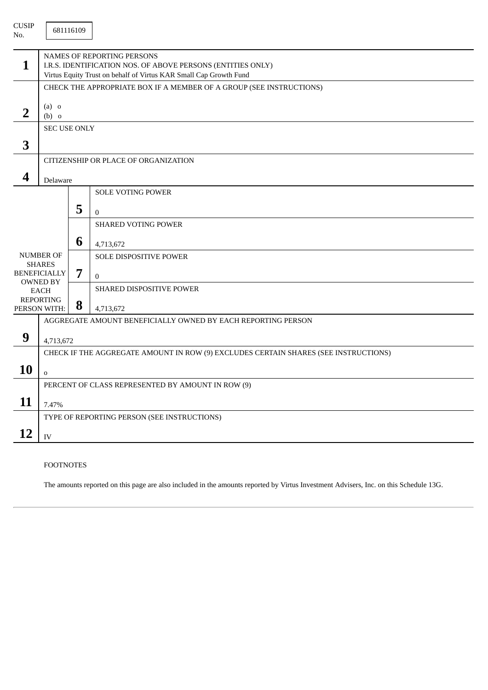| <b>CUSIP</b><br>No.              |                                                                                                                                                                | 681116109 |                                                              |  |  |  |  |
|----------------------------------|----------------------------------------------------------------------------------------------------------------------------------------------------------------|-----------|--------------------------------------------------------------|--|--|--|--|
| 1                                | NAMES OF REPORTING PERSONS<br>I.R.S. IDENTIFICATION NOS. OF ABOVE PERSONS (ENTITIES ONLY)<br>Virtus Equity Trust on behalf of Virtus KAR Small Cap Growth Fund |           |                                                              |  |  |  |  |
|                                  | CHECK THE APPROPRIATE BOX IF A MEMBER OF A GROUP (SEE INSTRUCTIONS)                                                                                            |           |                                                              |  |  |  |  |
| $\overline{2}$                   | $(a)$ o<br>$(b)$ o                                                                                                                                             |           |                                                              |  |  |  |  |
|                                  | <b>SEC USE ONLY</b>                                                                                                                                            |           |                                                              |  |  |  |  |
| 3                                |                                                                                                                                                                |           |                                                              |  |  |  |  |
|                                  |                                                                                                                                                                |           | CITIZENSHIP OR PLACE OF ORGANIZATION                         |  |  |  |  |
| $\boldsymbol{4}$                 | Delaware                                                                                                                                                       |           |                                                              |  |  |  |  |
|                                  |                                                                                                                                                                |           | <b>SOLE VOTING POWER</b>                                     |  |  |  |  |
|                                  |                                                                                                                                                                | 5         | $\Omega$                                                     |  |  |  |  |
|                                  |                                                                                                                                                                |           | <b>SHARED VOTING POWER</b>                                   |  |  |  |  |
|                                  |                                                                                                                                                                | 6         | 4,713,672                                                    |  |  |  |  |
|                                  | <b>NUMBER OF</b>                                                                                                                                               |           | <b>SOLE DISPOSITIVE POWER</b>                                |  |  |  |  |
|                                  | <b>SHARES</b><br><b>BENEFICIALLY</b>                                                                                                                           | 7         | $\mathbf{0}$                                                 |  |  |  |  |
|                                  | <b>OWNED BY</b><br><b>EACH</b>                                                                                                                                 |           | SHARED DISPOSITIVE POWER                                     |  |  |  |  |
| <b>REPORTING</b><br>PERSON WITH: |                                                                                                                                                                | 8         | 4,713,672                                                    |  |  |  |  |
|                                  |                                                                                                                                                                |           | AGGREGATE AMOUNT BENEFICIALLY OWNED BY EACH REPORTING PERSON |  |  |  |  |
| 9                                |                                                                                                                                                                |           |                                                              |  |  |  |  |
|                                  | 4,713,672<br>CHECK IF THE AGGREGATE AMOUNT IN ROW (9) EXCLUDES CERTAIN SHARES (SEE INSTRUCTIONS)                                                               |           |                                                              |  |  |  |  |
| 10                               |                                                                                                                                                                |           |                                                              |  |  |  |  |
|                                  | $\mathbf 0$                                                                                                                                                    |           | PERCENT OF CLASS REPRESENTED BY AMOUNT IN ROW (9)            |  |  |  |  |
| 11                               | 7.47%                                                                                                                                                          |           |                                                              |  |  |  |  |
|                                  |                                                                                                                                                                |           |                                                              |  |  |  |  |
|                                  | TYPE OF REPORTING PERSON (SEE INSTRUCTIONS)                                                                                                                    |           |                                                              |  |  |  |  |
| 12                               | IV                                                                                                                                                             |           |                                                              |  |  |  |  |

## FOOTNOTES

The amounts reported on this page are also included in the amounts reported by Virtus Investment Advisers, Inc. on this Schedule 13G.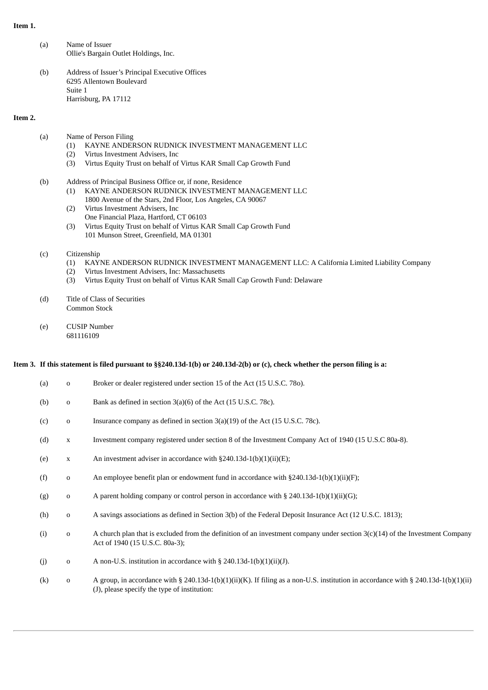#### **Item 1.**

- (a) Name of Issuer Ollie's Bargain Outlet Holdings, Inc.
- (b) Address of Issuer's Principal Executive Offices 6295 Allentown Boulevard Suite 1 Harrisburg, PA 17112

#### **Item 2.**

- (a) Name of Person Filing
	- (1) KAYNE ANDERSON RUDNICK INVESTMENT MANAGEMENT LLC
	- (2) Virtus Investment Advisers, Inc
	- (3) Virtus Equity Trust on behalf of Virtus KAR Small Cap Growth Fund
- (b) Address of Principal Business Office or, if none, Residence
	- (1) KAYNE ANDERSON RUDNICK INVESTMENT MANAGEMENT LLC
	- 1800 Avenue of the Stars, 2nd Floor, Los Angeles, CA 90067 (2) Virtus Investment Advisers, Inc
	- One Financial Plaza, Hartford, CT 06103
	- (3) Virtus Equity Trust on behalf of Virtus KAR Small Cap Growth Fund 101 Munson Street, Greenfield, MA 01301

#### (c) Citizenship

- (1) KAYNE ANDERSON RUDNICK INVESTMENT MANAGEMENT LLC: A California Limited Liability Company
- (2) Virtus Investment Advisers, Inc: Massachusetts
- (3) Virtus Equity Trust on behalf of Virtus KAR Small Cap Growth Fund: Delaware
- (d) Title of Class of Securities Common Stock
- (e) CUSIP Number 681116109

#### Item 3. If this statement is filed pursuant to §§240.13d-1(b) or 240.13d-2(b) or (c), check whether the person filing is a:

| (a) | $\mathbf{O}$ | Broker or dealer registered under section 15 of the Act (15 U.S.C. 780).                                                                                                           |
|-----|--------------|------------------------------------------------------------------------------------------------------------------------------------------------------------------------------------|
| (b) | $\mathbf 0$  | Bank as defined in section 3(a)(6) of the Act (15 U.S.C. 78c).                                                                                                                     |
| (c) | $\mathbf{o}$ | Insurance company as defined in section 3(a)(19) of the Act (15 U.S.C. 78c).                                                                                                       |
| (d) | $\mathbf X$  | Investment company registered under section 8 of the Investment Company Act of 1940 (15 U.S.C 80a-8).                                                                              |
| (e) | $\mathbf X$  | An investment adviser in accordance with $\S240.13d-1(b)(1)(ii)(E)$ ;                                                                                                              |
| (f) | $\mathbf 0$  | An employee benefit plan or endowment fund in accordance with $\S 240.13d-1(b)(1)(ii)(F)$ ;                                                                                        |
| (g) | $\mathbf 0$  | A parent holding company or control person in accordance with § 240.13d-1(b)(1)(ii)(G);                                                                                            |
| (h) | $\mathbf 0$  | A savings associations as defined in Section 3(b) of the Federal Deposit Insurance Act (12 U.S.C. 1813);                                                                           |
| (i) | $\mathbf 0$  | A church plan that is excluded from the definition of an investment company under section $3(c)(14)$ of the Investment Company<br>Act of 1940 (15 U.S.C. 80a-3);                   |
| (j) | $\mathbf 0$  | A non-U.S. institution in accordance with $\S$ 240.13d-1(b)(1)(ii)(J).                                                                                                             |
| (k) | $\mathbf{o}$ | A group, in accordance with § 240.13d-1(b)(1)(ii)(K). If filing as a non-U.S. institution in accordance with § 240.13d-1(b)(1)(ii)<br>(J), please specify the type of institution: |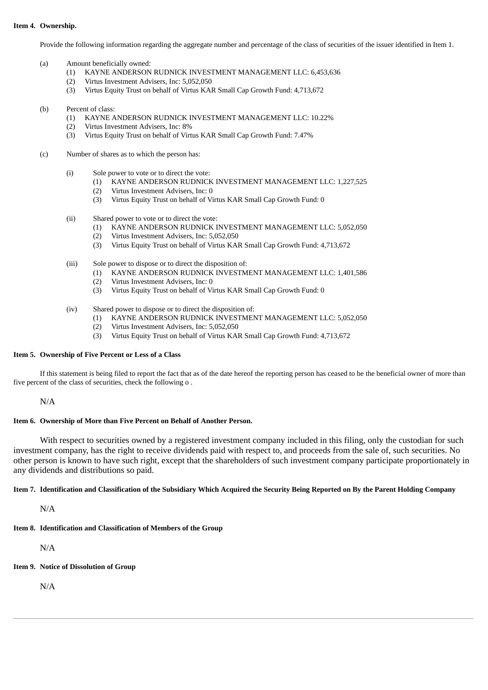#### **Item 4. Ownership.**

Provide the following information regarding the aggregate number and percentage of the class of securities of the issuer identified in Item 1.

- (a) Amount beneficially owned:
	- (1) KAYNE ANDERSON RUDNICK INVESTMENT MANAGEMENT LLC: 6,453,636
	- (2) Virtus Investment Advisers, Inc: 5,052,050
	- (3) Virtus Equity Trust on behalf of Virtus KAR Small Cap Growth Fund: 4,713,672

#### (b) Percent of class:

- (1) KAYNE ANDERSON RUDNICK INVESTMENT MANAGEMENT LLC: 10.22%
- (2) Virtus Investment Advisers, Inc: 8%
- (3) Virtus Equity Trust on behalf of Virtus KAR Small Cap Growth Fund: 7.47%
- (c) Number of shares as to which the person has:
	- (i) Sole power to vote or to direct the vote:
		- (1) KAYNE ANDERSON RUDNICK INVESTMENT MANAGEMENT LLC: 1,227,525
		- (2) Virtus Investment Advisers, Inc: 0
		- (3) Virtus Equity Trust on behalf of Virtus KAR Small Cap Growth Fund: 0
	- (ii) Shared power to vote or to direct the vote:
		- (1) KAYNE ANDERSON RUDNICK INVESTMENT MANAGEMENT LLC: 5,052,050
		- (2) Virtus Investment Advisers, Inc: 5,052,050
		- (3) Virtus Equity Trust on behalf of Virtus KAR Small Cap Growth Fund: 4,713,672
	- (iii) Sole power to dispose or to direct the disposition of:
		- (1) KAYNE ANDERSON RUDNICK INVESTMENT MANAGEMENT LLC: 1,401,586
		- (2) Virtus Investment Advisers, Inc: 0
		- (3) Virtus Equity Trust on behalf of Virtus KAR Small Cap Growth Fund: 0
	- (iv) Shared power to dispose or to direct the disposition of:
		- (1) KAYNE ANDERSON RUDNICK INVESTMENT MANAGEMENT LLC: 5,052,050
		- (2) Virtus Investment Advisers, Inc: 5,052,050
		- (3) Virtus Equity Trust on behalf of Virtus KAR Small Cap Growth Fund: 4,713,672

#### **Item 5. Ownership of Five Percent or Less of a Class**

If this statement is being filed to report the fact that as of the date hereof the reporting person has ceased to be the beneficial owner of more than five percent of the class of securities, check the following o .

N/A

#### **Item 6. Ownership of More than Five Percent on Behalf of Another Person.**

With respect to securities owned by a registered investment company included in this filing, only the custodian for such investment company, has the right to receive dividends paid with respect to, and proceeds from the sale of, such securities. No other person is known to have such right, except that the shareholders of such investment company participate proportionately in any dividends and distributions so paid.

#### Item 7. Identification and Classification of the Subsidiary Which Acquired the Security Being Reported on By the Parent Holding Company

N/A

# **Item 8. Identification and Classification of Members of the Group**

N/A

**Item 9. Notice of Dissolution of Group**

N/A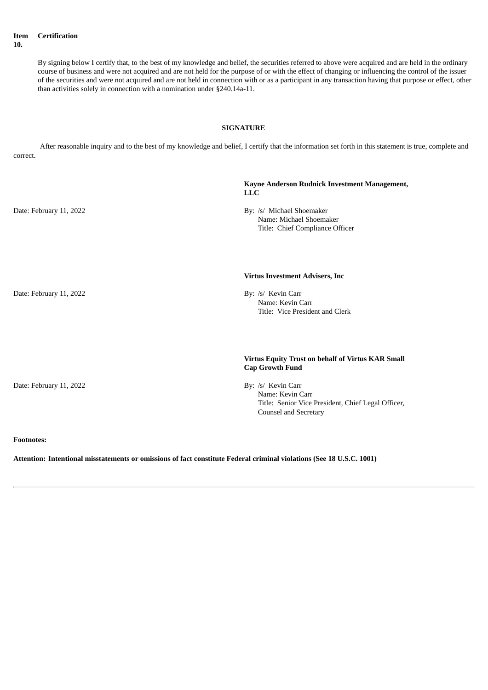**Item 10. Certification**

> By signing below I certify that, to the best of my knowledge and belief, the securities referred to above were acquired and are held in the ordinary course of business and were not acquired and are not held for the purpose of or with the effect of changing or influencing the control of the issuer of the securities and were not acquired and are not held in connection with or as a participant in any transaction having that purpose or effect, other than activities solely in connection with a nomination under §240.14a-11.

#### **SIGNATURE**

After reasonable inquiry and to the best of my knowledge and belief, I certify that the information set forth in this statement is true, complete and correct.

|                         | Kayne Anderson Rudnick Investment Management,<br><b>LLC</b>                                                                  |
|-------------------------|------------------------------------------------------------------------------------------------------------------------------|
| Date: February 11, 2022 | By: /s/ Michael Shoemaker<br>Name: Michael Shoemaker<br>Title: Chief Compliance Officer                                      |
|                         | <b>Virtus Investment Advisers, Inc</b>                                                                                       |
| Date: February 11, 2022 | By: /s/ Kevin Carr<br>Name: Kevin Carr<br>Title: Vice President and Clerk                                                    |
|                         | Virtus Equity Trust on behalf of Virtus KAR Small<br><b>Cap Growth Fund</b>                                                  |
| Date: February 11, 2022 | By: /s/ Kevin Carr<br>Name: Kevin Carr<br>Title: Senior Vice President, Chief Legal Officer,<br><b>Counsel and Secretary</b> |
| <b>Footnotes:</b>       |                                                                                                                              |

# **Attention: Intentional misstatements or omissions of fact constitute Federal criminal violations (See 18 U.S.C. 1001)**